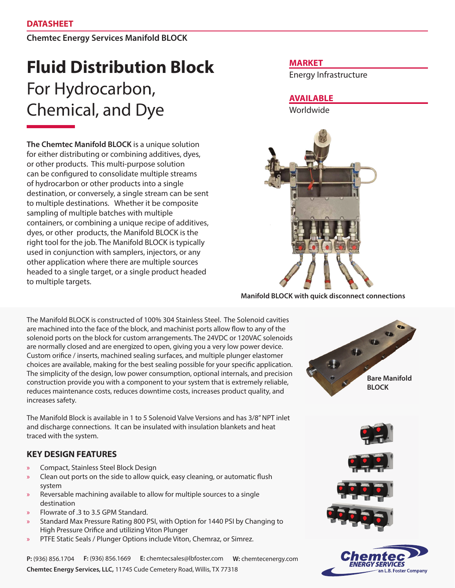**Chemtec Energy Services Manifold BLOCK**

# **Fluid Distribution Block**  For Hydrocarbon, Chemical, and Dye

**The Chemtec Manifold BLOCK** is a unique solution for either distributing or combining additives, dyes, or other products. This multi-purpose solution can be configured to consolidate multiple streams of hydrocarbon or other products into a single destination, or conversely, a single stream can be sent to multiple destinations. Whether it be composite sampling of multiple batches with multiple containers, or combining a unique recipe of additives, dyes, or other products, the Manifold BLOCK is the right tool for the job. The Manifold BLOCK is typically used in conjunction with samplers, injectors, or any other application where there are multiple sources headed to a single target, or a single product headed to multiple targets.

The Manifold BLOCK is constructed of 100% 304 Stainless Steel. The Solenoid cavities are machined into the face of the block, and machinist ports allow flow to any of the solenoid ports on the block for custom arrangements. The 24VDC or 120VAC solenoids are normally closed and are energized to open, giving you a very low power device. Custom orifice / inserts, machined sealing surfaces, and multiple plunger elastomer choices are available, making for the best sealing possible for your specific application. The simplicity of the design, low power consumption, optional internals, and precision construction provide you with a component to your system that is extremely reliable, reduces maintenance costs, reduces downtime costs, increases product quality, and increases safety.

The Manifold Block is available in 1 to 5 Solenoid Valve Versions and has 3/8" NPT inlet and discharge connections. It can be insulated with insulation blankets and heat traced with the system.

## **KEY DESIGN FEATURES**

- » Compact, Stainless Steel Block Design
- Clean out ports on the side to allow quick, easy cleaning, or automatic flush system
- » Reversable machining available to allow for multiple sources to a single destination
- » Flowrate of .3 to 3.5 GPM Standard.
- » Standard Max Pressure Rating 800 PSI, with Option for 1440 PSI by Changing to High Pressure Orifice and utilizing Viton Plunger
- » PTFE Static Seals / Plunger Options include Viton, Chemraz, or Simrez.

**P:** (936) 856.1704 **F:** (936) 856.1669 **E:** chemtecsales@lbfoster.com **W:** chemtecenergy.com **Chemtec Energy Services, LLC,** 11745 Cude Cemetery Road, Willis, TX 77318

### **MARKET**

Energy Infrastructure

**AVAILABLE**

Worldwide



**Manifold BLOCK with quick disconnect connections**